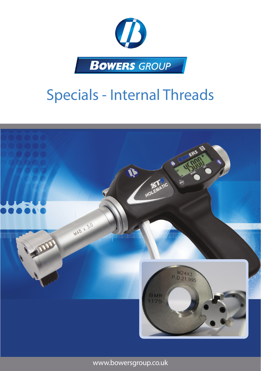

## Specials - Internal Threads



www.bowersgroup.co.uk